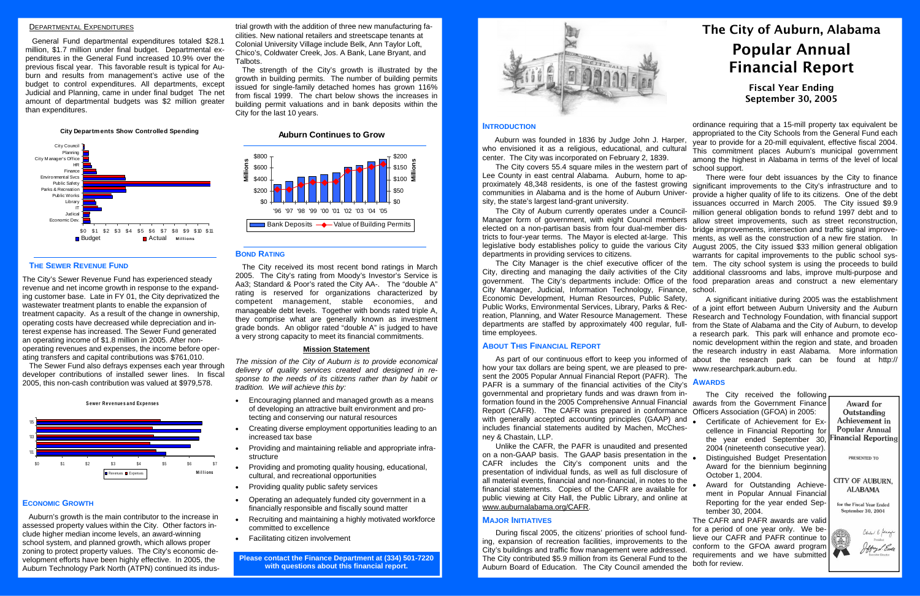# DEPARTMENTAL EXPENDITURES

General Fund departmental expenditures totaled \$28.1 million, \$1.7 million under final budget. Departmental expenditures in the General Fund increased 10.9% over the previous fiscal year. This favorable result is typical for Auburn and results from management's active use of the budget to control expenditures. All departments, except Judicial and Planning, came in under final budget The net amount of departmental budgets was \$2 million greater than expenditures.

# **THE SEWER REVENUE FUND**

The City's Sewer Revenue Fund has experienced steady revenue and net income growth in response to the expanding customer base. Late in FY 01, the City deprivatized the wastewater treatment plants to enable the expansion of treatment capacity. As a result of the change in ownership, operating costs have decreased while depreciation and interest expense has increased. The Sewer Fund generated an operating income of \$1.8 million in 2005. After nonoperating revenues and expenses, the income before operating transfers and capital contributions was \$761,010.

The Sewer Fund also defrays expenses each year through developer contributions of installed sewer lines. In fiscal 2005, this non-cash contribution was valued at \$979,578.

#### **ECONOMIC GROWTH**

 Auburn's growth is the main contributor to the increase in assessed property values within the City. Other factors include higher median income levels, an award-winning school system, and planned growth, which allows proper zoning to protect property values. The City's economic development efforts have been highly effective. In 2005, the Auburn Technology Park North (ATPN) continued its industrial growth with the addition of three new manufacturing fa-

cilities. New national retailers and streetscape tenants at<br>Colonial University Village include Belk, Ann Taylor Loft,<br>Chico's, Coldwater Creek, Jos. A Bank, Lane Bryant, and<br>Talbots.<br>The strength of the City's growth is i

### **BOND RATING**

The City received its most recent bond ratings in March 2005. The City's rating from Moody's Investor's Service is Aa3; Standard & Poor's rated the City AA-. The "double A" rating is reserved for organizations characterized by competent management, stable economies, and manageable debt levels. Together with bonds rated triple A, they comprise what are generally known as investment grade bonds. An obligor rated "double A" is judged to have a very strong capacity to meet its financial commitments.

#### **Mission Statement**

*The mission of the City of Auburn is to provide economical delivery of quality services created and designed in response to the needs of its citizens rather than by habit or tradition. We will achieve this by:* 

- Encouraging planned and managed growth as a means of developing an attractive built environment and protecting and conserving our natural resources
- Creating diverse employment opportunities leading to an increased tax base
- Providing and maintaining reliable and appropriate infrastructure
- Providing and promoting quality housing, educational, cultural, and recreational opportunities
- Providing quality public safety services
- Operating an adequately funded city government in a financially responsible and fiscally sound matter
- Recruiting and maintaining a highly motivated workforce committed to excellence
- Facilitating citizen involvement

**Please contact the Finance Department at (334) 501-7220 with questions about this financial report.** 



# **City Departments Show Controlled Spending**



# **Auburn Continues to Grow**



**S ewe <sup>r</sup> Rev enue s a nd Ex pe nses**



As part of our continuous effort to keep you informed of about the research park can be found at http:// from the State of Alabama and the City of Auburn, to develop a research park. This park will enhance and promote economic development within the region and state, and broaden the research industry in east Alabama. More information

# The City of Auburn, Alabama Popular Annual Financial Report

# Fiscal Year Ending September 30, 2005

departments are staffed by approximately 400 regular, fulltime employees.

# **ABOUT THIS FINANCIAL REPORT**

**INTRODUCTION** Auburn was founded in 1836 by Judge John J. Harper, who envisioned it as a religious, educational, and cultural center. The City was incorporated on February 2, 1839. The City covers 55.4 square miles in the western part of school support. ordinance requiring that a 15-mill property tax equivalent be appropriated to the City Schools from the General Fund each year to provide for a 20-mill equivalent, effective fiscal 2004. This commitment places Auburn's municipal government among the highest in Alabama in terms of the level of local

how your tax dollars are being spent, we are pleased to pre-www.researchpark.auburn.edu. sent the 2005 Popular Annual Financial Report (PAFR). The PAFR is a summary of the financial activities of the City's **AWARDS** governmental and proprietary funds and was drawn from information found in the 2005 Comprehensive Annual Financial awards from the Government Finance Report (CAFR). The CAFR was prepared in conformance Officers Association (GFOA) in 2005: with generally accepted accounting principles (GAAP) and includes financial statements audited by Machen, McChesney & Chastain, LLP.

Lee County in east central Alabama. Auburn, home to approximately 48,348 residents, is one of the fastest growing significant improvements to the City's infrastructure and to communities in Alabama and is the home of Auburn University, the state's largest land-grant university. The City of Auburn currently operates under a Council-Manager form of government, with eight Council members allow street improvements, such as street reconstruction, elected on a non-partisan basis from four dual-member districts to four-year terms. The Mayor is elected at-large. This legislative body establishes policy to guide the various City departments in providing services to citizens. The City Manager is the chief executive officer of the tem. The city school system is using the proceeds to build City, directing and managing the daily activities of the City additional classrooms and labs, improve multi-purpose and government. The City's departments include: Office of the food preparation areas and construct a new elementary City Manager, Judicial, Information Technology, Finance, school. Economic Development, Human Resources, Public Safety, Public Works, Environmental Services, Library, Parks & Rec- <sub>of a</sub> joint effort between Auburn University and the Auburn reation, Planning, and Water Resource Management. These Research and Technology Foundation, with financial support There were four debt issuances by the City to finance provide a higher quality of life to its citizens. One of the debt issuances occurred in March 2005. The City issued \$9.9 million general obligation bonds to refund 1997 debt and to bridge improvements, intersection and traffic signal improvements, as well as the construction of a new fire station. In August 2005, the City issued \$33 million general obligation warrants for capital improvements to the public school sys-A significant initiative during 2005 was the establishment

Unlike the CAFR, the PAFR is unaudited and presented on a non-GAAP basis. The GAAP basis presentation in the CAFR includes the City's component units and the presentation of individual funds, as well as full disclosure of all material events, financial and non-financial, in notes to the financial statements. Copies of the CAFR are available for public viewing at City Hall, the Public Library, and online at www.auburnalabama.org/CAFR.

#### **MAJOR INITIATIVES**

During fiscal 2005, the citizens' priorities of school funding, expansion of recreation facilities, improvements to the City's buildings and traffic flow management were addressed. The City contributed \$5.9 million from its General Fund to the Auburn Board of Education. The City Council amended the

The City received the following

- Certificate of Achievement for Excellence in Financial Reporting for the year ended September 30, 2004 (nineteenth consecutive year).
- Distinguished Budget Presentation Award for the biennium beginning October 1, 2004.
- Award for Outstanding Achievement in Popular Annual Financial Reporting for the year ended September 30, 2004.

The CAFR and PAFR awards are valid for a period of one year only. We believe our CAFR and PAFR continue to conform to the GFOA award program requirements and we have submitted both for review.

Award for Outstanding Achievement in **Popular Annual** inancial Reporting

PRESENTED TO

**CITY OF AUBURN, ALABAMA** 

for the Fiscal Year Ended September 30, 2004